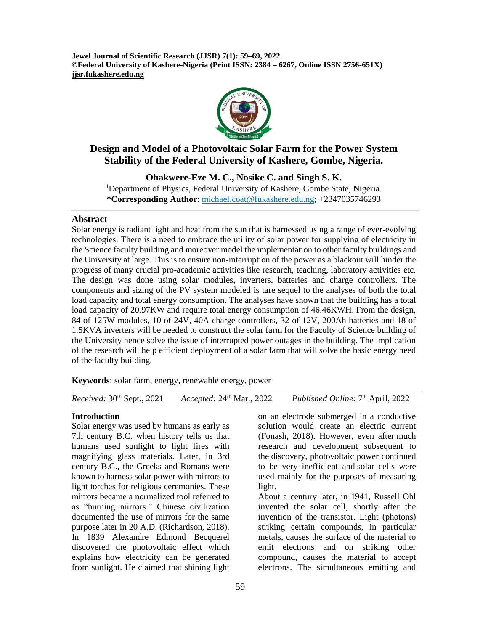**Jewel Journal of Scientific Research (JJSR) 7(1): 59–69, 2022 ©Federal University of Kashere-Nigeria (Print ISSN: 2384 – 6267, Online ISSN 2756-651X) jjsr.fukashere.edu.ng**



# **Design and Model of a Photovoltaic Solar Farm for the Power System Stability of the Federal University of Kashere, Gombe, Nigeria.**

**Ohakwere-Eze M. C., Nosike C. and Singh S. K.** <sup>1</sup>Department of Physics, Federal University of Kashere, Gombe State, Nigeria. \***Corresponding Author**: [michael.coat@fukashere.edu.ng;](mailto:michael.coat@fukashere.edu.ng) +2347035746293

# **Abstract**

Solar energy is radiant light and heat from the sun that is harnessed using a range of ever-evolving technologies. There is a need to embrace the utility of solar power for supplying of electricity in the Science faculty building and moreover model the implementation to other faculty buildings and the University at large. This is to ensure non-interruption of the power as a blackout will hinder the progress of many crucial pro-academic activities like research, teaching, laboratory activities etc. The design was done using solar modules, inverters, batteries and charge controllers. The components and sizing of the PV system modeled is tare sequel to the analyses of both the total load capacity and total energy consumption. The analyses have shown that the building has a total load capacity of 20.97KW and require total energy consumption of 46.46KWH. From the design, 84 of 125W modules, 10 of 24V, 40A charge controllers, 32 of 12V, 200Ah batteries and 18 of 1.5KVA inverters will be needed to construct the solar farm for the Faculty of Science building of the University hence solve the issue of interrupted power outages in the building. The implication of the research will help efficient deployment of a solar farm that will solve the basic energy need of the faculty building.

**Keywords**: solar farm, energy, renewable energy, power

*Received:* 30<sup>th</sup> Sept., 2021 *Accepted:* 24<sup>th</sup> Mar., 2022 Published Online: 7<sup>th</sup> April, 2022

# **Introduction**

Solar energy was used by humans as early as 7th century B.C. when history tells us that humans used sunlight to light fires with magnifying glass materials. Later, in 3rd century B.C., the Greeks and Romans were known to harness solar power with mirrors to light torches for religious ceremonies. These mirrors became a normalized tool referred to as "burning mirrors." Chinese civilization documented the use of mirrors for the same purpose later in 20 A.D. (Richardson, 2018). In 1839 Alexandre Edmond Becquerel discovered the photovoltaic effect which explains how electricity can be generated from sunlight. He claimed that shining light

on an electrode submerged in a conductive solution would create an electric current (Fonash, 2018). However, even after much research and development subsequent to the discovery, photovoltaic power continued to be very inefficient and solar cells were used mainly for the purposes of measuring light.

About a century later, in 1941, Russell Ohl invented the solar cell, shortly after the invention of the transistor. Light (photons) striking certain compounds, in particular metals, causes the surface of the material to emit electrons and on striking other compound, causes the material to accept electrons. The simultaneous emitting and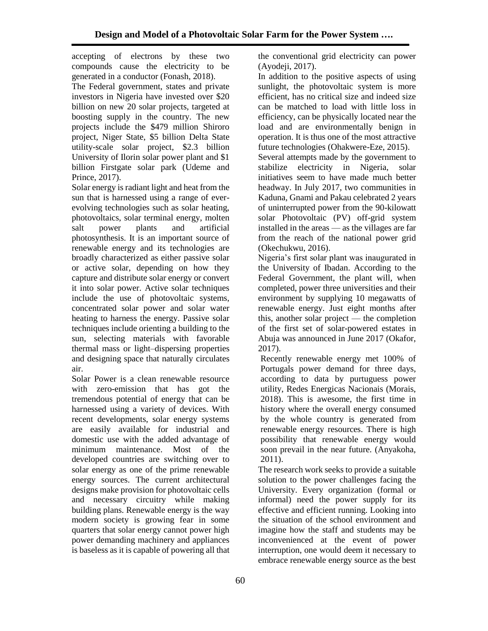accepting of electrons by these two compounds cause the electricity to be generated in a conductor (Fonash, 2018).

The Federal government, states and private investors in Nigeria have invested over \$20 billion on new 20 solar projects, targeted at boosting supply in the country. The new projects include the \$479 million Shiroro project, Niger State, \$5 billion Delta State utility-scale solar project, \$2.3 billion University of Ilorin solar power plant and \$1 billion Firstgate solar park (Udeme and Prince, 2017).

Solar energy is radiant light and heat from the sun that is harnessed using a range of everevolving technologies such as solar heating, photovoltaics, solar terminal energy, molten salt power plants and artificial photosynthesis. It is an important source of renewable energy and its technologies are broadly characterized as either passive solar or active solar, depending on how they capture and distribute solar energy or convert it into solar power. Active solar techniques include the use of photovoltaic systems, concentrated solar power and solar water heating to harness the energy. Passive solar techniques include orienting a building to the sun, selecting materials with favorable thermal mass or light–dispersing properties and designing space that naturally circulates air.

Solar Power is a clean renewable resource with zero-emission that has got the tremendous potential of energy that can be harnessed using a variety of devices. With recent developments, solar energy systems are easily available for industrial and domestic use with the added advantage of minimum maintenance. Most of the developed countries are switching over to solar energy as one of the prime renewable energy sources. The current architectural designs make provision for photovoltaic cells and necessary circuitry while making building plans. Renewable energy is the way modern society is growing fear in some quarters that solar energy cannot power high power demanding machinery and appliances is baseless as it is capable of powering all that

the conventional grid electricity can power (Ayodeji, 2017).

In addition to the positive aspects of using sunlight, the photovoltaic system is more efficient, has no critical size and indeed size can be matched to load with little loss in efficiency, can be physically located near the load and are environmentally benign in operation. It is thus one of the most attractive future technologies (Ohakwere-Eze, 2015). Several attempts made by the government to stabilize electricity in Nigeria, solar initiatives seem to have made much better headway. In July 2017, two communities in

Kaduna, Gnami and Pakau celebrated 2 years of uninterrupted power from the 90-kilowatt solar Photovoltaic (PV) off-grid system installed in the areas — as the villages are far from the reach of the national power grid (Okechukwu, 2016).

Nigeria's first solar plant was inaugurated in the University of Ibadan. According to the Federal Government, the plant will, when completed, power three universities and their environment by supplying 10 megawatts of renewable energy. Just eight months after this, another solar project — the completion of the first set of solar-powered estates in Abuja was announced in June 2017 (Okafor, 2017).

Recently renewable energy met 100% of Portugals power demand for three days, according to data by purtuguess power utility, Redes Energicas Nacionais (Morais, 2018). This is awesome, the first time in history where the overall energy consumed by the whole country is generated from renewable energy resources. There is high possibility that renewable energy would soon prevail in the near future. (Anyakoha, 2011).

The research work seeks to provide a suitable solution to the power challenges facing the University. Every organization (formal or informal) need the power supply for its effective and efficient running. Looking into the situation of the school environment and imagine how the staff and students may be inconvenienced at the event of power interruption, one would deem it necessary to embrace renewable energy source as the best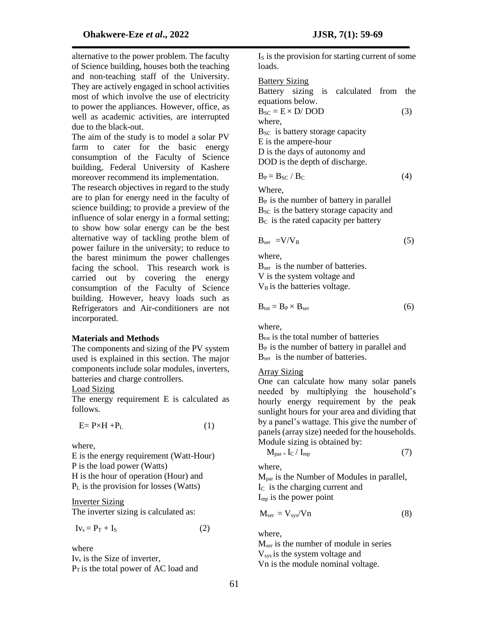alternative to the power problem. The faculty of Science building, houses both the teaching and non-teaching staff of the University. They are actively engaged in school activities most of which involve the use of electricity to power the appliances. However, office, as well as academic activities, are interrupted due to the black-out.

The aim of the study is to model a solar PV farm to cater for the basic energy consumption of the Faculty of Science building, Federal University of Kashere moreover recommend its implementation.

The research objectives in regard to the study are to plan for energy need in the faculty of science building; to provide a preview of the influence of solar energy in a formal setting; to show how solar energy can be the best alternative way of tackling prothe blem of power failure in the university; to reduce to the barest minimum the power challenges facing the school. This research work is carried out by covering the energy consumption of the Faculty of Science building. However, heavy loads such as Refrigerators and Air-conditioners are not incorporated.

### **Materials and Methods**

The components and sizing of the PV system used is explained in this section. The major components include solar modules, inverters, batteries and charge controllers.

## Load Sizing

The energy requirement E is calculated as follows.

$$
E = P \times H + P_L \tag{1}
$$

where,

E is the energy requirement (Watt-Hour) P is the load power (Watts) H is the hour of operation (Hour) and  $P<sub>L</sub>$  is the provision for losses (Watts)

### Inverter Sizing

The inverter sizing is calculated as:

$$
Iv_s = P_T + I_S \tag{2}
$$

where Iv<sup>s</sup> is the Size of inverter,  $P_T$  is the total power of AC load and

 $I<sub>S</sub>$  is the provision for starting current of some loads.

### Battery Sizing

Battery sizing is calculated from the equations below.

$$
B_{SC} = E \times D / DOD
$$
 (3)  
where,  
 
$$
B_{SC}
$$
 is battery storage capacity  
 E is the ampere-hour  
 D is the days of automomy and  
 DOD is the depth of discharge.

$$
B_P = B_{SC} / B_C \tag{4}
$$

Where,

 $B<sub>P</sub>$  is the number of battery in parallel  $B_{SC}$  is the battery storage capacity and  $B<sub>C</sub>$  is the rated capacity per battery

$$
B_{\rm ser} = V/V_{\rm B} \tag{5}
$$

where,

B<sub>ser</sub> is the number of batteries. V is the system voltage and  $V_B$  is the batteries voltage.

$$
B_{\text{tot}} = B_P \times B_{\text{ser}} \tag{6}
$$

where,

 $B_{\text{tot}}$  is the total number of batteries  $B<sub>P</sub>$  is the number of battery in parallel and B<sub>ser</sub> is the number of batteries.

## Array Sizing

One can calculate how many solar panels needed by multiplying the household's hourly energy requirement by the peak sunlight hours for your area and dividing that by a panel's wattage. This give the number of panels (array size) needed for the households. Module sizing is obtained by:

$$
M_{par} = I_C / I_{mp}
$$
 (7)

where,

 $M<sub>par</sub>$  is the Number of Modules in parallel, IC is the charging current and  $I_{\text{mp}}$  is the power point

$$
M_{ser} = V_{sys}/Vn
$$
 (8)

where,

Mser is the number of module in series V<sub>sys</sub> is the system voltage and Vn is the module nominal voltage.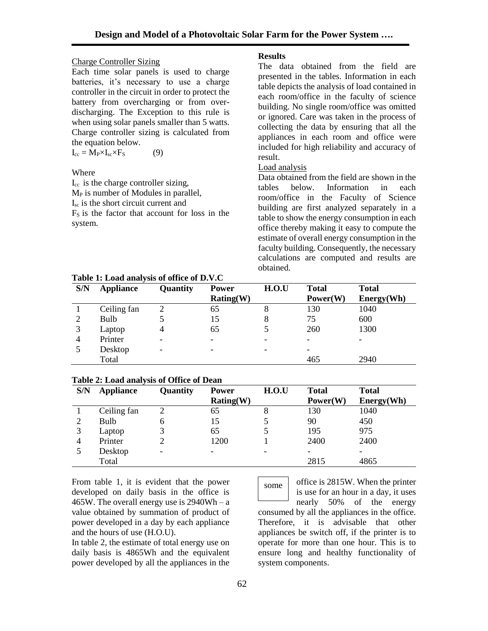# Charge Controller Sizing

Each time solar panels is used to charge batteries, it's necessary to use a charge controller in the circuit in order to protect the battery from overcharging or from overdischarging. The Exception to this rule is when using solar panels smaller than 5 watts. Charge controller sizing is calculated from the equation below.

 $I_{cc} = M_P \times I_{sc} \times F_S$  (9)

# Where

 $I_{cc}$  is the charge controller sizing,  $M<sub>P</sub>$  is number of Modules in parallel, Isc is the short circuit current and  $F<sub>S</sub>$  is the factor that account for loss in the system.

# **Results**

The data obtained from the field are presented in the tables. Information in each table depicts the analysis of load contained in each room/office in the faculty of science building. No single room/office was omitted or ignored. Care was taken in the process of collecting the data by ensuring that all the appliances in each room and office were included for high reliability and accuracy of result.

# Load analysis

Data obtained from the field are shown in the tables below. Information in each room/office in the Faculty of Science building are first analyzed separately in a table to show the energy consumption in each office thereby making it easy to compute the estimate of overall energy consumption in the faculty building. Consequently, the necessary calculations are computed and results are obtained.

| S/N | <b>Appliance</b> | Quantity                 | <b>Power</b>             | H.O.U | <b>Total</b>    | <b>Total</b> |
|-----|------------------|--------------------------|--------------------------|-------|-----------------|--------------|
|     |                  |                          | Rating(W)                |       | Power(W)        | Energy(Wh)   |
|     | Ceiling fan      |                          | 65                       | 8     | 130             | 1040         |
|     | Bulb             |                          | 15                       | 8     | 75              | 600          |
| 3   | Laptop           |                          | 65                       |       | 260             | 1300         |
| 4   | Printer          | -                        | $\overline{\phantom{0}}$ |       | $\qquad \qquad$ |              |
|     | Desktop          | $\overline{\phantom{0}}$ | $\overline{\phantom{0}}$ |       | -               |              |
|     | Total            |                          |                          |       | 465             | 2940         |

**Table 1: Load analysis of office of D.V.C** 

# **Table 2: Load analysis of Office of Dean**

| S/N | <b>Appliance</b> | Quantity                 | <b>Power</b> | H.O.U | <b>Total</b>             | <b>Total</b> |
|-----|------------------|--------------------------|--------------|-------|--------------------------|--------------|
|     |                  |                          | Rating(W)    |       | Power(W)                 | Energy(Wh)   |
|     | Ceiling fan      |                          | 65           | 8     | 130                      | 1040         |
|     | Bulb             | h                        | 15           |       | 90                       | 450          |
|     | Laptop           |                          | 65           |       | 195                      | 975          |
| 4   | Printer          |                          | 1200         |       | 2400                     | 2400         |
|     | Desktop          | $\overline{\phantom{0}}$ | -            |       | $\overline{\phantom{0}}$ |              |
|     | Total            |                          |              |       | 2815                     | 4865         |

From table 1, it is evident that the power developed on daily basis in the office is 465W. The overall energy use is  $2940Wh - a$ value obtained by summation of product of power developed in a day by each appliance and the hours of use (H.O.U).

In table 2, the estimate of total energy use on daily basis is 4865Wh and the equivalent power developed by all the appliances in the

office is 2815W. When the printer some

system components.

is use for an hour in a day, it uses nearly 50% of the energy consumed by all the appliances in the office. Therefore, it is advisable that other appliances be switch off, if the printer is to operate for more than one hour. This is to ensure long and healthy functionality of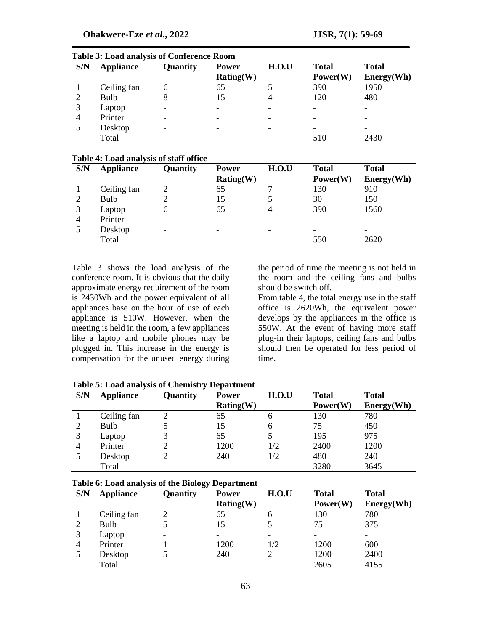| S/N | <b>Appliance</b> | Quantity                 | <b>Power</b>             | H.O.U | <b>Total</b> | <b>Total</b>             |
|-----|------------------|--------------------------|--------------------------|-------|--------------|--------------------------|
|     |                  |                          | Rating(W)                |       | Power(W)     | Energy(Wh)               |
|     | Ceiling fan      | b                        | 65                       |       | 390          | 1950                     |
|     | Bulb             | 8                        | 15                       |       | 120          | 480                      |
| 3   | Laptop           | $\overline{\phantom{a}}$ | $\overline{\phantom{0}}$ |       |              | $\overline{\phantom{0}}$ |
| 4   | Printer          | $\overline{\phantom{a}}$ |                          |       |              | -                        |
|     | Desktop          | $\overline{\phantom{a}}$ |                          |       |              |                          |
|     | Total            |                          |                          |       | 510          | 2430                     |

### **Table 3: Load analysis of Conference Room**

#### **Table 4: Load analysis of staff office**

| S/N | <b>Appliance</b> | Quantity | <b>Power</b> | H.O.U | <b>Total</b> | <b>Total</b> |
|-----|------------------|----------|--------------|-------|--------------|--------------|
|     |                  |          | Rating(W)    |       | Power(W)     | Energy(Wh)   |
|     | Ceiling fan      |          | 65           |       | 130          | 910          |
| 2   | Bulb             |          | 15           |       | 30           | 150          |
| 3   | Laptop           | 6        | 65           | 4     | 390          | 1560         |
| 4   | Printer          |          | ۰            |       | -            |              |
|     | Desktop          | -        | ۰            |       | -            |              |
|     | Total            |          |              |       | 550          | 2620         |
|     |                  |          |              |       |              |              |

Table 3 shows the load analysis of the conference room. It is obvious that the daily approximate energy requirement of the room is 2430Wh and the power equivalent of all appliances base on the hour of use of each appliance is 510W. However, when the meeting is held in the room, a few appliances like a laptop and mobile phones may be plugged in. This increase in the energy is compensation for the unused energy during

the period of time the meeting is not held in the room and the ceiling fans and bulbs should be switch off.

From table 4, the total energy use in the staff office is 2620Wh, the equivalent power develops by the appliances in the office is 550W. At the event of having more staff plug-in their laptops, ceiling fans and bulbs should then be operated for less period of time.

| S/N | <b>Appliance</b> | Quantity | <b>Power</b> | H.O.U | <b>Total</b> | <b>Total</b> |
|-----|------------------|----------|--------------|-------|--------------|--------------|
|     |                  |          | Rating(W)    |       | Power(W)     | Energy(Wh)   |
|     | Ceiling fan      |          | 65           | 6     | 130          | 780          |
| 2   | Bulb             |          | 15           | 6     | 75           | 450          |
| 3   | Laptop           | 3        | 65           |       | 195          | 975          |
| 4   | Printer          |          | 1200         | 1/2   | 2400         | 1200         |
|     | Desktop          |          | 240          | 1/2   | 480          | 240          |
|     | Total            |          |              |       | 3280         | 3645         |

**Table 5: Load analysis of Chemistry Department**

#### **Table 6: Load analysis of the Biology Department**

| S/N | <b>Appliance</b> | Quantity | <b>Power</b> | H.O.U | <b>Total</b> | <b>Total</b> |
|-----|------------------|----------|--------------|-------|--------------|--------------|
|     |                  |          | Rating(W)    |       | Power(W)     | Energy(Wh)   |
|     | Ceiling fan      | 2        | 65           | h     | 130          | 780          |
| 2   | Bulb             |          | 15           |       | 75           | 375          |
| 3   | Laptop           |          |              |       |              |              |
| 4   | Printer          |          | 1200         | 1/2   | 1200         | 600          |
|     | Desktop          |          | 240          |       | 1200         | 2400         |
|     | Total            |          |              |       | 2605         | 4155         |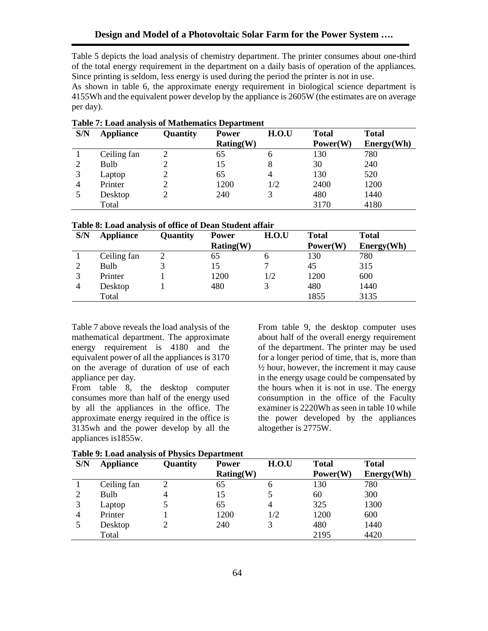Table 5 depicts the load analysis of chemistry department. The printer consumes about one-third of the total energy requirement in the department on a daily basis of operation of the appliances. Since printing is seldom, less energy is used during the period the printer is not in use.

As shown in table 6, the approximate energy requirement in biological science department is 4155Wh and the equivalent power develop by the appliance is 2605W (the estimates are on average per day).

| S/N | <b>Appliance</b> | Quantity | <b>Power</b> | H.O.U | <b>Total</b> | <b>Total</b> |
|-----|------------------|----------|--------------|-------|--------------|--------------|
|     |                  |          | Rating(W)    |       | Power(W)     | Energy(Wh)   |
|     | Ceiling fan      |          | 65           | 6     | 130          | 780          |
| ∍   | Bulb             |          | 15           | 8     | 30           | 240          |
| 3   | Laptop           |          | 65           | 4     | 130          | 520          |
| 4   | Printer          |          | 1200         | 1/2   | 2400         | 1200         |
|     | Desktop          |          | 240          |       | 480          | 1440         |
|     | Total            |          |              |       | 3170         | 4180         |

#### **Table 7: Load analysis of Mathematics Department**

#### **Table 8: Load analysis of office of Dean Student affair**

| S/N | <b>Appliance</b> | <b>Quantity</b> | <b>Power</b> | H.O.U | <b>Total</b> | <b>Total</b> |
|-----|------------------|-----------------|--------------|-------|--------------|--------------|
|     |                  |                 | Rating(W)    |       | Power(W)     | Energy(Wh)   |
|     | Ceiling fan      |                 | 65           | O     | 130          | 780          |
| ◠   | Bulb             |                 | 15           | ⇁     | 45           | 315          |
|     | Printer          |                 | 1200         | 1/2   | 1200         | 600          |
|     | Desktop          |                 | 480          |       | 480          | 1440         |
|     | Total            |                 |              |       | 1855         | 3135         |

Table 7 above reveals the load analysis of the mathematical department. The approximate energy requirement is 4180 and the equivalent power of all the appliances is 3170 on the average of duration of use of each appliance per day.

From table 8, the desktop computer consumes more than half of the energy used by all the appliances in the office. The approximate energy required in the office is 3135wh and the power develop by all the appliances is1855w.

From table 9, the desktop computer uses about half of the overall energy requirement of the department. The printer may be used for a longer period of time, that is, more than ½ hour, however, the increment it may cause in the energy usage could be compensated by the hours when it is not in use. The energy consumption in the office of the Faculty examiner is 2220Wh as seen in table 10 while the power developed by the appliances altogether is 2775W.

| S/N | <b>Appliance</b> | Quantity       | <b>Power</b> | H.O.U | <b>Total</b> | <b>Total</b> |
|-----|------------------|----------------|--------------|-------|--------------|--------------|
|     |                  |                | Rating(W)    |       | Power(W)     | Energy(Wh)   |
|     | Ceiling fan      |                | 65           | h     | 130          | 780          |
| ∍   | Bulb             | $\overline{4}$ | 15           |       | 60           | 300          |
| 3   | Laptop           |                | 65           |       | 325          | 1300         |
| 4   | Printer          |                | 1200         | 1/2   | 1200         | 600          |
|     | Desktop          |                | 240          |       | 480          | 1440         |
|     | Total            |                |              |       | 2195         | 4420         |

**Table 9: Load analysis of Physics Department**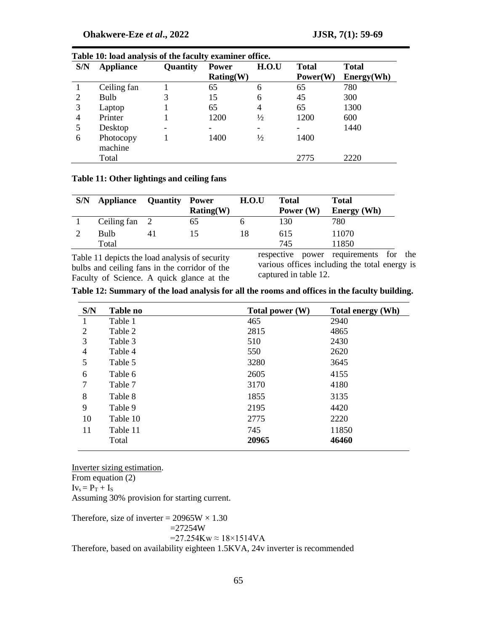|     | Table To: load analysis of the faculty examiner office. |                 |              |               |              |              |  |  |  |
|-----|---------------------------------------------------------|-----------------|--------------|---------------|--------------|--------------|--|--|--|
| S/N | <b>Appliance</b>                                        | <b>Quantity</b> | <b>Power</b> | H.O.U         | <b>Total</b> | <b>Total</b> |  |  |  |
|     |                                                         |                 | Rating(W)    |               | Power(W)     | Energy(Wh)   |  |  |  |
|     | Ceiling fan                                             |                 | 65           | 6             | 65           | 780          |  |  |  |
| 2   | <b>Bulb</b>                                             | 3               | 15           | 6             | 45           | 300          |  |  |  |
| 3   | Laptop                                                  |                 | 65           | 4             | 65           | 1300         |  |  |  |
| 4   | Printer                                                 |                 | 1200         | $\frac{1}{2}$ | 1200         | 600          |  |  |  |
| 5   | Desktop                                                 |                 | -            | -             |              | 1440         |  |  |  |
| 6   | Photocopy<br>machine                                    |                 | 1400         | $\frac{1}{2}$ | 1400         |              |  |  |  |
|     | Total                                                   |                 |              |               | 2775         | 2220         |  |  |  |
|     |                                                         |                 |              |               |              |              |  |  |  |

# **Table 10: load analysis of the faculty examiner office.**

# **Table 11: Other lightings and ceiling fans**

| S/N | Appliance             | <b>Quantity</b> | Power<br>Rating(W) | H.O.U | <b>Total</b><br>Power $(W)$ | Total<br><b>Energy</b> (Wh) |
|-----|-----------------------|-----------------|--------------------|-------|-----------------------------|-----------------------------|
|     | Ceiling $fan \quad 2$ |                 | 65                 |       | 130                         | 780                         |
|     | Bulb                  | 41              | $\mathsf{L}$       | 18    | 615                         | 11070                       |
|     | Total                 |                 |                    |       | 745                         | 11850                       |

Table 11 depicts the load analysis of security bulbs and ceiling fans in the corridor of the Faculty of Science. A quick glance at the respective power requirements for the various offices including the total energy is captured in table 12.

|  |  |  | Table 12: Summary of the load analysis for all the rooms and offices in the faculty building. |
|--|--|--|-----------------------------------------------------------------------------------------------|
|  |  |  |                                                                                               |

| S/N | <b>Table no</b> | Total power $(W)$ | Total energy (Wh) |
|-----|-----------------|-------------------|-------------------|
|     | Table 1         | 465               | 2940              |
| 2   | Table 2         | 2815              | 4865              |
| 3   | Table 3         | 510               | 2430              |
| 4   | Table 4         | 550               | 2620              |
| 5   | Table 5         | 3280              | 3645              |
| 6   | Table 6         | 2605              | 4155              |
| 7   | Table 7         | 3170              | 4180              |
| 8   | Table 8         | 1855              | 3135              |
| 9   | Table 9         | 2195              | 4420              |
| 10  | Table 10        | 2775              | 2220              |
| 11  | Table 11        | 745               | 11850             |
|     | Total           | 20965             | 46460             |

Inverter sizing estimation.

From equation (2)  $Iv_s = P_T + I_S$ Assuming 30% provision for starting current.

Therefore, size of inverter =  $20965W \times 1.30$  $=27254W$  $=27.254Kw \approx 18\times1514VA$ Therefore, based on availability eighteen 1.5KVA, 24v inverter is recommended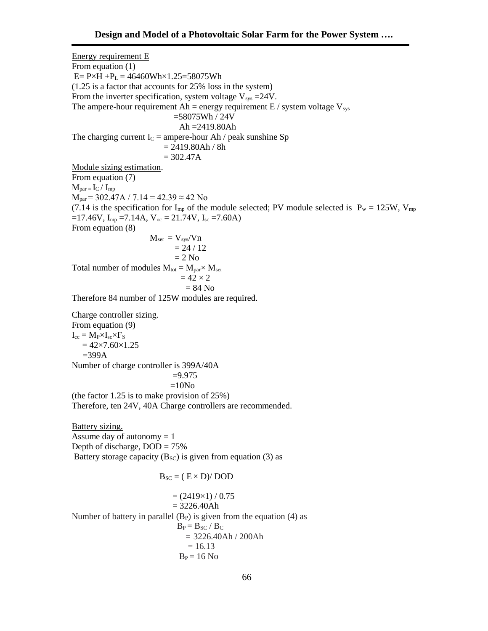Energy requirement E From equation (1)  $E = P \times H + P_L = 46460Wh \times 1.25 = 58075Wh$ (1.25 is a factor that accounts for 25% loss in the system) From the inverter specification, system voltage  $V_{sys} = 24V$ . The ampere-hour requirement Ah = energy requirement E / system voltage  $V_{sys}$  =58075Wh / 24V Ah =2419.80Ah The charging current  $I_C =$  ampere-hour Ah / peak sunshine Sp  $= 2419.80Ah / 8h$  $= 302.47A$ Module sizing estimation. From equation (7)  $M_{par} = I_C / I_{mp}$  $M_{par}$  = 302.47A / 7.14 = 42.39  $\approx$  42 No (7.14 is the specification for  $I_{mp}$  of the module selected; PV module selected is  $P_w = 125W$ ,  $V_{mp}$  $=17.46V$ ,  $I_{mp} = 7.14A$ ,  $V_{oc} = 21.74V$ ,  $I_{sc} = 7.60A$ ) From equation (8)  $M_{ser} = V_{sys}/Vn$  $= 24 / 12$  $= 2$  No Total number of modules  $M_{\text{tot}} = M_{\text{par}} \times M_{\text{ser}}$  $= 42 \times 2$  $= 84$  No Therefore 84 number of 125W modules are required. Charge controller sizing. From equation (9)  $I_{cc} = M_P \times I_{sc} \times F_S$  $= 42 \times 7.60 \times 1.25$  $=399A$ Number of charge controller is 399A/40A  $=9.975$  $=10N<sub>O</sub>$ (the factor 1.25 is to make provision of 25%) Therefore, ten 24V, 40A Charge controllers are recommended. Battery sizing. Assume day of autonomy  $= 1$ Depth of discharge,  $DOD = 75%$ Battery storage capacity  $(B_{SC})$  is given from equation (3) as  $B_{SC} = (E \times D) / DOD$  $= (2419\times1) / 0.75$  $= 3226.40Ah$ Number of battery in parallel  $(B_P)$  is given from the equation (4) as  $B_P = B_{SC} / B_C$  $= 3226.40$ Ah / 200Ah

 $= 16.13$  $B_P = 16$  No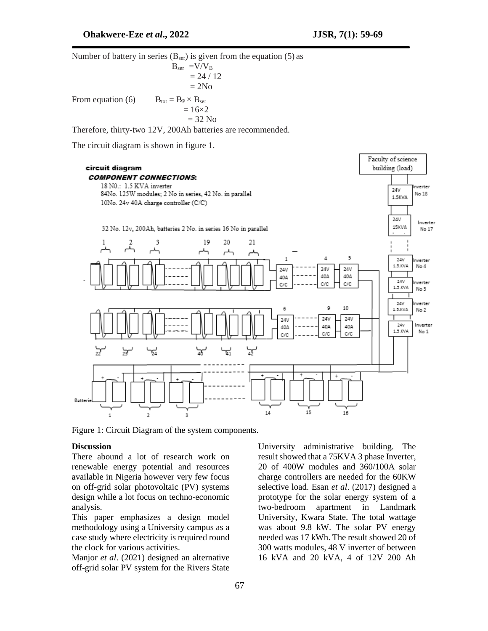Number of battery in series  $(B_{ser})$  is given from the equation (5) as  $B_{\text{ser}} = V/V_B$  $= 24 / 12$  $= 2N<sub>o</sub>$ From equation (6)  $B_{\text{tot}} = B_P \times B_{\text{ser}}$  $= 16 \times 2$  $= 32$  No

Therefore, thirty-two 12V, 200Ah batteries are recommended.

The circuit diagram is shown in figure 1.



Figure 1: Circuit Diagram of the system components.

### **Discussion**

There abound a lot of research work on renewable energy potential and resources available in Nigeria however very few focus on off-grid solar photovoltaic (PV) systems design while a lot focus on techno-economic analysis.

This paper emphasizes a design model methodology using a University campus as a case study where electricity is required round the clock for various activities.

Manjor *et al*. (2021) designed an alternative off-grid solar PV system for the Rivers State

University administrative building. The result showed that a 75KVA 3 phase Inverter, 20 of 400W modules and 360/100A solar charge controllers are needed for the 60KW selective load. Esan *et al*. (2017) designed a prototype for the solar energy system of a two-bedroom apartment in Landmark University, Kwara State. The total wattage was about 9.8 kW. The solar PV energy needed was 17 kWh. The result showed 20 of 300 watts modules, 48 V inverter of between 16 kVA and 20 kVA, 4 of 12V 200 Ah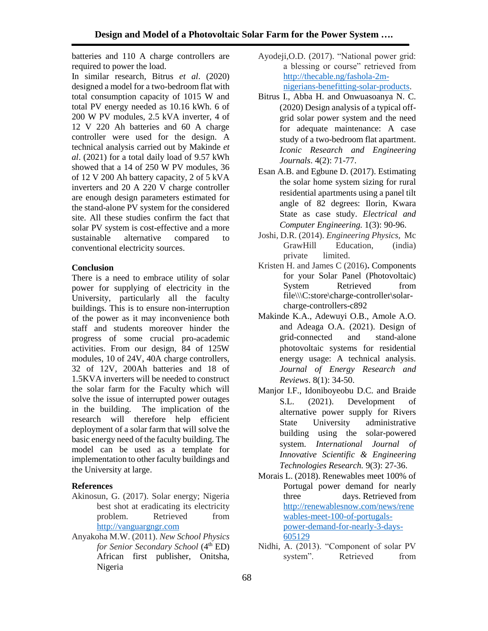batteries and 110 A charge controllers are required to power the load.

In similar research, Bitrus *et al*. (2020) designed a model for a two-bedroom flat with total consumption capacity of 1015 W and total PV energy needed as 10.16 kWh. 6 of 200 W PV modules, 2.5 kVA inverter, 4 of 12 V 220 Ah batteries and 60 A charge controller were used for the design. A technical analysis carried out by Makinde *et al*. (2021) for a total daily load of 9.57 kWh showed that a 14 of 250 W PV modules, 36 of 12 V 200 Ah battery capacity, 2 of 5 kVA inverters and 20 A 220 V charge controller are enough design parameters estimated for the stand-alone PV system for the considered site. All these studies confirm the fact that solar PV system is cost-effective and a more sustainable alternative compared to conventional electricity sources.

## **Conclusion**

There is a need to embrace utility of solar power for supplying of electricity in the University, particularly all the faculty buildings. This is to ensure non-interruption of the power as it may inconvenience both staff and students moreover hinder the progress of some crucial pro-academic activities. From our design, 84 of 125W modules, 10 of 24V, 40A charge controllers, 32 of 12V, 200Ah batteries and 18 of 1.5KVA inverters will be needed to construct the solar farm for the Faculty which will solve the issue of interrupted power outages in the building. The implication of the research will therefore help efficient deployment of a solar farm that will solve the basic energy need of the faculty building. The model can be used as a template for implementation to other faculty buildings and the University at large.

# **References**

- Akinosun, G. (2017). Solar energy; Nigeria best shot at eradicating its electricity problem. Retrieved from [http://vanguargngr.com](http://vanguargngr.com/)
- Anyakoha M.W. (2011). *New School Physics for Senior Secondary School* (4<sup>th</sup> ED) African first publisher, Onitsha, Nigeria
- Ayodeji,O.D. (2017). "National power grid: a blessing or course" retrieved from [http://thecable.ng/fashola-2m](http://thecable.ng/fashola-2m-nigerians-benefitting-solar-products)[nigerians-benefitting-solar-products.](http://thecable.ng/fashola-2m-nigerians-benefitting-solar-products)
- Bitrus I., Abba H. and Onwuasoanya N. C. (2020) Design analysis of a typical offgrid solar power system and the need for adequate maintenance: A case study of a two-bedroom flat apartment. *Iconic Research and Engineering Journals*. 4(2): 71-77.
- Esan A.B. and Egbune D. (2017). Estimating the solar home system sizing for rural residential apartments using a panel tilt angle of 82 degrees: Ilorin, Kwara State as case study. *Electrical and Computer Engineering.* 1(3): 90-96.
- Joshi, D.R. (2014). *Engineering Physics,* Mc GrawHill Education, (india) private limited.
- Kristen H. and James C (2016)**.** Components for your Solar Panel (Photovoltaic) System Retrieved from file\\\C:store\charge-controller\solarcharge-controllers-c892
- Makinde K.A., Adewuyi O.B., Amole A.O. and Adeaga O.A. (2021). Design of grid-connected and stand-alone photovoltaic systems for residential energy usage: A technical analysis. *Journal of Energy Research and Reviews*. 8(1): 34-50.
- Manjor I.F., Idoniboyeobu D.C. and Braide S.L. (2021). Development of alternative power supply for Rivers State University administrative building using the solar-powered system. *International Journal of Innovative Scientific & Engineering Technologies Research.* 9(3): 27-36.
- Morais L. (2018). Renewables meet 100% of Portugal power demand for nearly three days. Retrieved from [http://renewablesnow.com/news/rene](http://renewablesnow.com/news/renewables-meet-100-of-portugals-power-demand-for-nearly-3-days-605129) [wables-meet-100-of-portugals](http://renewablesnow.com/news/renewables-meet-100-of-portugals-power-demand-for-nearly-3-days-605129)[power-demand-for-nearly-3-days-](http://renewablesnow.com/news/renewables-meet-100-of-portugals-power-demand-for-nearly-3-days-605129)[605129](http://renewablesnow.com/news/renewables-meet-100-of-portugals-power-demand-for-nearly-3-days-605129)
- Nidhi, A. (2013). "Component of solar PV system". Retrieved from